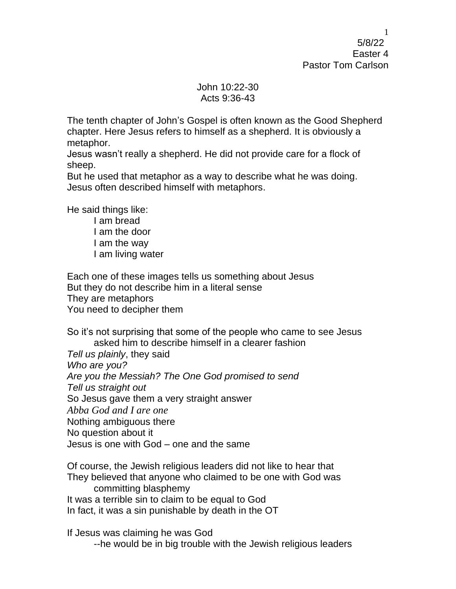5/8/22 Easter 4 Pastor Tom Carlson

## John 10:22-30 Acts 9:36-43

The tenth chapter of John's Gospel is often known as the Good Shepherd chapter. Here Jesus refers to himself as a shepherd. It is obviously a metaphor.

Jesus wasn't really a shepherd. He did not provide care for a flock of sheep.

But he used that metaphor as a way to describe what he was doing. Jesus often described himself with metaphors.

He said things like:

I am bread I am the door I am the way I am living water

Each one of these images tells us something about Jesus But they do not describe him in a literal sense They are metaphors You need to decipher them

So it's not surprising that some of the people who came to see Jesus asked him to describe himself in a clearer fashion

*Tell us plainly*, they said *Who are you? Are you the Messiah? The One God promised to send Tell us straight out* So Jesus gave them a very straight answer *Abba God and I are one* Nothing ambiguous there No question about it Jesus is one with God – one and the same

Of course, the Jewish religious leaders did not like to hear that They believed that anyone who claimed to be one with God was committing blasphemy It was a terrible sin to claim to be equal to God In fact, it was a sin punishable by death in the OT

If Jesus was claiming he was God

--he would be in big trouble with the Jewish religious leaders

1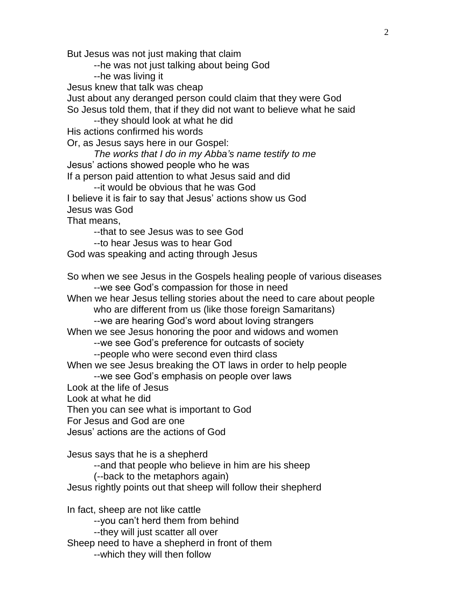But Jesus was not just making that claim

--he was not just talking about being God

--he was living it

Jesus knew that talk was cheap

Just about any deranged person could claim that they were God So Jesus told them, that if they did not want to believe what he said --they should look at what he did

His actions confirmed his words

Or, as Jesus says here in our Gospel:

*The works that I do in my Abba's name testify to me* Jesus' actions showed people who he was If a person paid attention to what Jesus said and did

--it would be obvious that he was God I believe it is fair to say that Jesus' actions show us God Jesus was God

That means,

--that to see Jesus was to see God

--to hear Jesus was to hear God

God was speaking and acting through Jesus

So when we see Jesus in the Gospels healing people of various diseases --we see God's compassion for those in need

When we hear Jesus telling stories about the need to care about people who are different from us (like those foreign Samaritans)

--we are hearing God's word about loving strangers

When we see Jesus honoring the poor and widows and women

--we see God's preference for outcasts of society

--people who were second even third class

When we see Jesus breaking the OT laws in order to help people

--we see God's emphasis on people over laws

Look at the life of Jesus

Look at what he did

Then you can see what is important to God

For Jesus and God are one

Jesus' actions are the actions of God

Jesus says that he is a shepherd

--and that people who believe in him are his sheep

(--back to the metaphors again)

Jesus rightly points out that sheep will follow their shepherd

In fact, sheep are not like cattle --you can't herd them from behind --they will just scatter all over Sheep need to have a shepherd in front of them --which they will then follow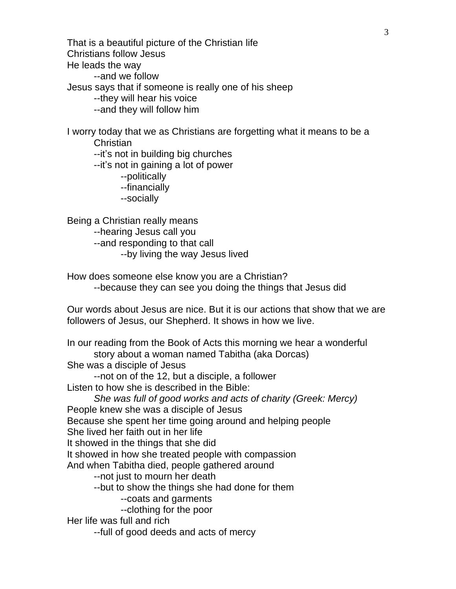That is a beautiful picture of the Christian life Christians follow Jesus He leads the way --and we follow Jesus says that if someone is really one of his sheep --they will hear his voice --and they will follow him

I worry today that we as Christians are forgetting what it means to be a Christian --it's not in building big churches

--it's not in gaining a lot of power

--politically

--financially

--socially

Being a Christian really means --hearing Jesus call you --and responding to that call --by living the way Jesus lived

How does someone else know you are a Christian? --because they can see you doing the things that Jesus did

Our words about Jesus are nice. But it is our actions that show that we are followers of Jesus, our Shepherd. It shows in how we live.

In our reading from the Book of Acts this morning we hear a wonderful story about a woman named Tabitha (aka Dorcas)

She was a disciple of Jesus

--not on of the 12, but a disciple, a follower

Listen to how she is described in the Bible:

*She was full of good works and acts of charity (Greek: Mercy)* People knew she was a disciple of Jesus Because she spent her time going around and helping people

She lived her faith out in her life

It showed in the things that she did

It showed in how she treated people with compassion

And when Tabitha died, people gathered around

--not just to mourn her death

--but to show the things she had done for them

--coats and garments

--clothing for the poor

Her life was full and rich

--full of good deeds and acts of mercy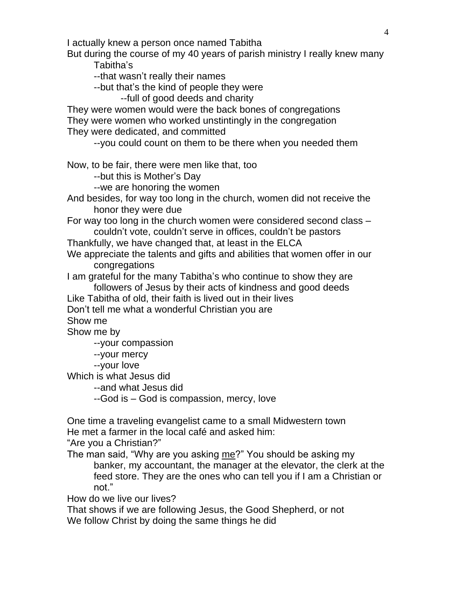I actually knew a person once named Tabitha

But during the course of my 40 years of parish ministry I really knew many Tabitha's

--that wasn't really their names

--but that's the kind of people they were

--full of good deeds and charity

They were women would were the back bones of congregations They were women who worked unstintingly in the congregation They were dedicated, and committed

--you could count on them to be there when you needed them

Now, to be fair, there were men like that, too

--but this is Mother's Day

--we are honoring the women

And besides, for way too long in the church, women did not receive the honor they were due

For way too long in the church women were considered second class – couldn't vote, couldn't serve in offices, couldn't be pastors

Thankfully, we have changed that, at least in the ELCA

We appreciate the talents and gifts and abilities that women offer in our congregations

I am grateful for the many Tabitha's who continue to show they are followers of Jesus by their acts of kindness and good deeds

Like Tabitha of old, their faith is lived out in their lives

Don't tell me what a wonderful Christian you are

Show me

Show me by

--your compassion

--your mercy

--your love

Which is what Jesus did

--and what Jesus did

--God is – God is compassion, mercy, love

One time a traveling evangelist came to a small Midwestern town He met a farmer in the local café and asked him:

"Are you a Christian?"

The man said, "Why are you asking me?" You should be asking my banker, my accountant, the manager at the elevator, the clerk at the feed store. They are the ones who can tell you if I am a Christian or not."

How do we live our lives?

That shows if we are following Jesus, the Good Shepherd, or not We follow Christ by doing the same things he did